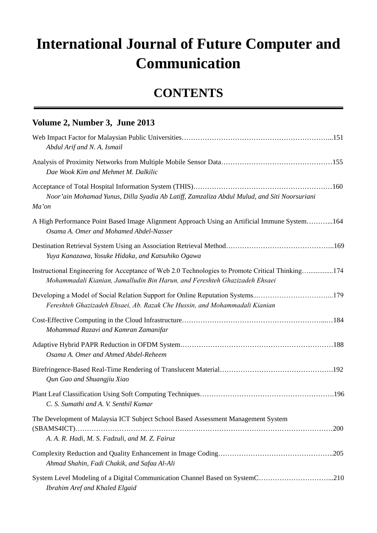## **International Journal of Future Computer and Communication**

## **CONTENTS**

| Volume 2, Number 3, June 2013                                                                                                                                                  |
|--------------------------------------------------------------------------------------------------------------------------------------------------------------------------------|
| Abdul Arif and N. A. Ismail                                                                                                                                                    |
| Dae Wook Kim and Mehmet M. Dalkilic                                                                                                                                            |
| Noor'ain Mohamad Yunus, Dilla Syadia Ab Latiff, Zamzaliza Abdul Mulud, and Siti Noorsuriani<br>Ma'on                                                                           |
| A High Performance Point Based Image Alignment Approach Using an Artificial Immune System164<br>Osama A. Omer and Mohamed Abdel-Nasser                                         |
| Yuya Kanazawa, Yosuke Hidaka, and Katsuhiko Ogawa                                                                                                                              |
| Instructional Engineering for Acceptance of Web 2.0 Technologies to Promote Critical Thinking174<br>Mohammadali Kianian, Jamalludin Bin Harun, and Fereshteh Ghazizadeh Ehsaei |
| Developing a Model of Social Relation Support for Online Reputation Systems179<br>Fereshteh Ghazizadeh Ehsaei, Ab. Razak Che Hussin, and Mohammadali Kianian                   |
| Mohammad Razavi and Kamran Zamanifar                                                                                                                                           |
| Osama A. Omer and Ahmed Abdel-Reheem                                                                                                                                           |
| Qun Gao and Shuangjiu Xiao                                                                                                                                                     |
| C. S. Sumathi and A. V. Senthil Kumar                                                                                                                                          |
| The Development of Malaysia ICT Subject School Based Assessment Management System                                                                                              |
| A. A. R. Hadi, M. S. Fadzuli, and M. Z. Fairuz                                                                                                                                 |
| Ahmad Shahin, Fadi Chakik, and Safaa Al-Ali                                                                                                                                    |
| System Level Modeling of a Digital Communication Channel Based on SystemC210<br>Ibrahim Aref and Khaled Elgaid                                                                 |